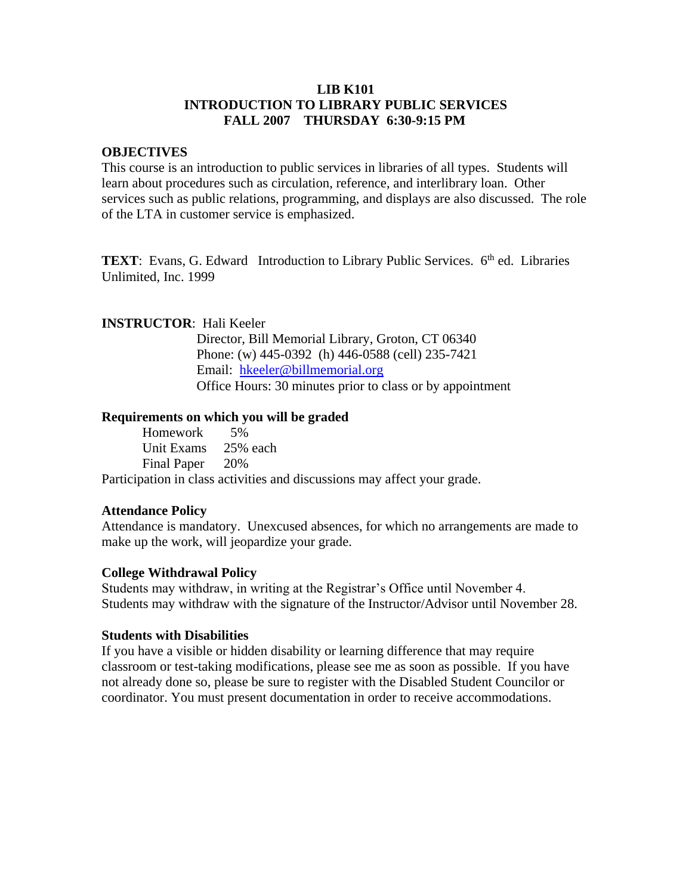# **LIB K101 INTRODUCTION TO LIBRARY PUBLIC SERVICES FALL 2007 THURSDAY 6:30-9:15 PM**

## **OBJECTIVES**

This course is an introduction to public services in libraries of all types. Students will learn about procedures such as circulation, reference, and interlibrary loan. Other services such as public relations, programming, and displays are also discussed. The role of the LTA in customer service is emphasized.

**TEXT**: Evans, G. Edward Introduction to Library Public Services. 6<sup>th</sup> ed. Libraries Unlimited, Inc. 1999

## **INSTRUCTOR**: Hali Keeler

 Director, Bill Memorial Library, Groton, CT 06340 Phone: (w) 445-0392 (h) 446-0588 (cell) 235-7421 Email: [hkeeler@billmemorial.org](mailto:hkeeler@billmemorial.org) Office Hours: 30 minutes prior to class or by appointment

## **Requirements on which you will be graded**

Homework 5% Unit Exams 25% each Final Paper 20%

Participation in class activities and discussions may affect your grade.

#### **Attendance Policy**

Attendance is mandatory. Unexcused absences, for which no arrangements are made to make up the work, will jeopardize your grade.

#### **College Withdrawal Policy**

Students may withdraw, in writing at the Registrar's Office until November 4. Students may withdraw with the signature of the Instructor/Advisor until November 28.

## **Students with Disabilities**

If you have a visible or hidden disability or learning difference that may require classroom or test-taking modifications, please see me as soon as possible. If you have not already done so, please be sure to register with the Disabled Student Councilor or coordinator. You must present documentation in order to receive accommodations.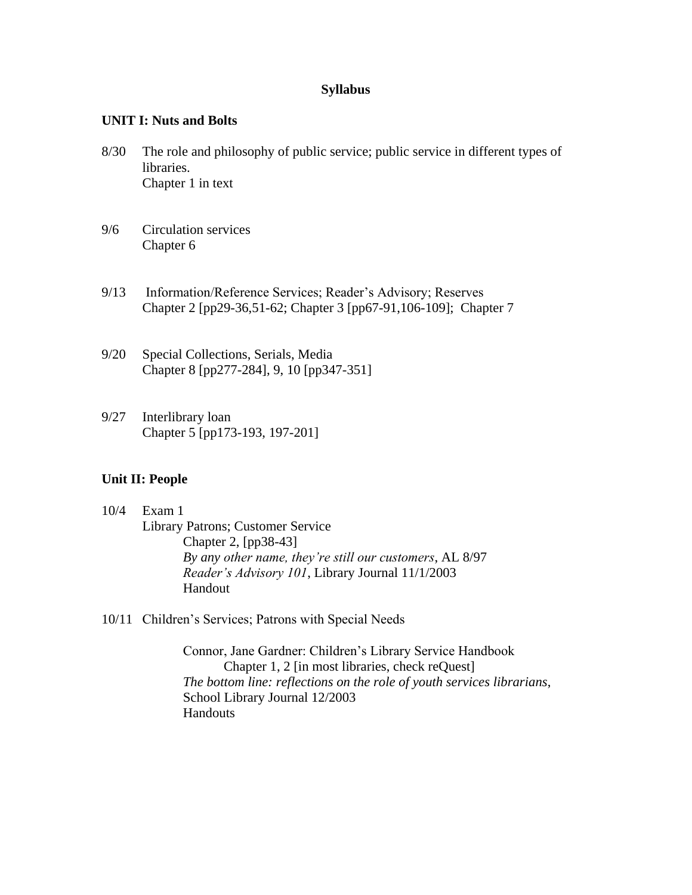## **Syllabus**

## **UNIT I: Nuts and Bolts**

- 8/30 The role and philosophy of public service; public service in different types of libraries. Chapter 1 in text
- 9/6 Circulation services Chapter 6
- 9/13 Information/Reference Services; Reader's Advisory; Reserves Chapter 2 [pp29-36,51-62; Chapter 3 [pp67-91,106-109]; Chapter 7
- 9/20 Special Collections, Serials, Media Chapter 8 [pp277-284], 9, 10 [pp347-351]
- 9/27 Interlibrary loan Chapter 5 [pp173-193, 197-201]

# **Unit II: People**

- 10/4 Exam 1 Library Patrons; Customer Service Chapter 2, [pp38-43] *By any other name, they're still our customers*, AL 8/97 *Reader's Advisory 101*, Library Journal 11/1/2003 Handout
- 10/11 Children's Services; Patrons with Special Needs

Connor, Jane Gardner: Children's Library Service Handbook Chapter 1, 2 [in most libraries, check reQuest] *The bottom line: reflections on the role of youth services librarians*, School Library Journal 12/2003 **Handouts**